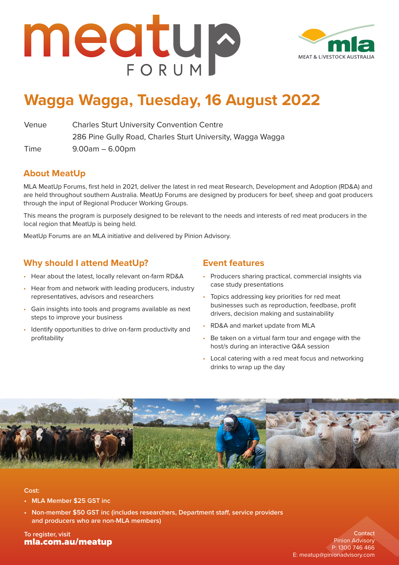



## **Wagga Wagga, Tuesday, 16 August 2022**

Venue Charles Sturt University Convention Centre 286 Pine Gully Road, Charles Sturt University, Wagga Wagga

Time 9.00am – 6.00pm

#### **About MeatUp**

MLA MeatUp Forums, first held in 2021, deliver the latest in red meat Research, Development and Adoption (RD&A) and are held throughout southern Australia. MeatUp Forums are designed by producers for beef, sheep and goat producers through the input of Regional Producer Working Groups.

This means the program is purposely designed to be relevant to the needs and interests of red meat producers in the local region that MeatUp is being held.

MeatUp Forums are an MLA initiative and delivered by Pinion Advisory.

#### **Why should I attend MeatUp?**

- Hear about the latest, locally relevant on-farm RD&A
- Hear from and network with leading producers, industry representatives, advisors and researchers
- Gain insights into tools and programs available as next steps to improve your business
- Identify opportunities to drive on-farm productivity and profitability

#### **Event features**

- Producers sharing practical, commercial insights via case study presentations
- Topics addressing key priorities for red meat businesses such as reproduction, feedbase, profit drivers, decision making and sustainability
- RD&A and market update from MLA
- Be taken on a virtual farm tour and engage with the host/s during an interactive Q&A session
- Local catering with a red meat focus and networking drinks to wrap up the day



#### **Cost:**

- **• MLA Member \$25 GST inc**
- **• Non-member \$50 GST inc (includes researchers, Department staff, service providers and producers who are non-MLA members)**

**To register, visit** [mla.com.au/meatup](https://www.mla.com.au/extension-training-and-tools/meatup/)

**Contact** Pinion Advisory P: 1300 746 466 E: [meatup@pinionadvisory.com](mailto:meatup%40pinionadvisory.com?subject=)